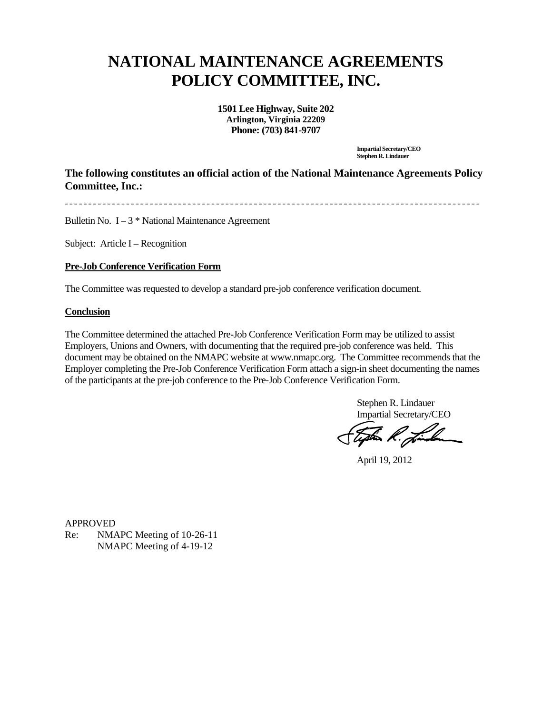## **NATIONAL MAINTENANCE AGREEMENTS POLICY COMMITTEE, INC.**

**1501 Lee Highway, Suite 202 Arlington, Virginia 22209 Phone: (703) 841-9707**

> **Impartial Secretary/CEO Stephen R. Lindauer**

**The following constitutes an official action of the National Maintenance Agreements Policy Committee, Inc.:** 

Bulletin No.  $I - 3$  \* National Maintenance Agreement

Subject: Article I – Recognition

## **Pre-Job Conference Verification Form**

The Committee was requested to develop a standard pre-job conference verification document.

## **Conclusion**

The Committee determined the attached Pre-Job Conference Verification Form may be utilized to assist Employers, Unions and Owners, with documenting that the required pre-job conference was held. This document may be obtained on the NMAPC website at www.nmapc.org. The Committee recommends that the Employer completing the Pre-Job Conference Verification Form attach a sign-in sheet documenting the names of the participants at the pre-job conference to the Pre-Job Conference Verification Form.

> Stephen R. Lindauer Impartial Secretary/CEO

Toption R. Jimilan

April 19, 2012

APPROVED Re: NMAPC Meeting of 10-26-11 NMAPC Meeting of 4-19-12